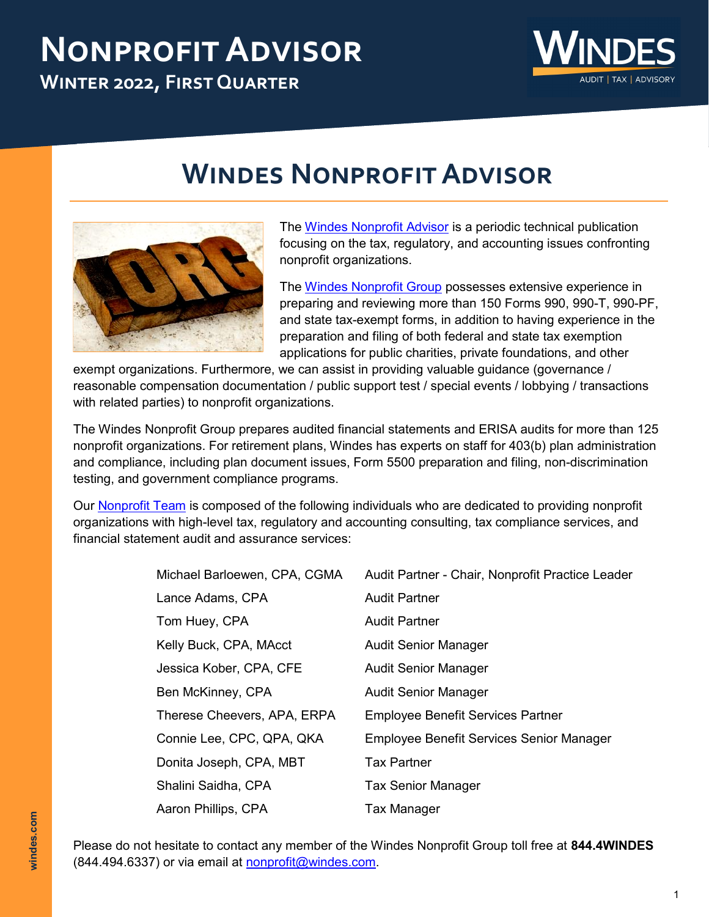# **Nonprofit Advisor Winter 2022, First Quarter**



# **Windes Nonprofit Advisor**



The [Windes Nonprofit Advisor](https://windes.com/insights/nonprofit-advisor/) is a periodic technical publication focusing on the tax, regulatory, and accounting issues confronting nonprofit organizations.

The [Windes Nonprofit Group](https://windes.com/services/tax/nonprofit/) possesses extensive experience in preparing and reviewing more than 150 Forms 990, 990-T, 990-PF, and state tax-exempt forms, in addition to having experience in the preparation and filing of both federal and state tax exemption applications for public charities, private foundations, and other

exempt organizations. Furthermore, we can assist in providing valuable guidance (governance / reasonable compensation documentation / public support test / special events / lobbying / transactions with related parties) to nonprofit organizations.

The Windes Nonprofit Group prepares audited financial statements and ERISA audits for more than 125 nonprofit organizations. For retirement plans, Windes has experts on staff for 403(b) plan administration and compliance, including plan document issues, Form 5500 preparation and filing, non-discrimination testing, and government compliance programs.

Our [Nonprofit Team](https://windes.com/services/tax/nonprofit/windes-nonprofit-team/) is composed of the following individuals who are dedicated to providing nonprofit organizations with high-level tax, regulatory and accounting consulting, tax compliance services, and financial statement audit and assurance services:

| Michael Barloewen, CPA, CGMA | Audit Partner - Chair, Nonprofit Practice Leader |
|------------------------------|--------------------------------------------------|
| Lance Adams, CPA             | <b>Audit Partner</b>                             |
| Tom Huey, CPA                | <b>Audit Partner</b>                             |
| Kelly Buck, CPA, MAcct       | <b>Audit Senior Manager</b>                      |
| Jessica Kober, CPA, CFE      | <b>Audit Senior Manager</b>                      |
| Ben McKinney, CPA            | <b>Audit Senior Manager</b>                      |
| Therese Cheevers, APA, ERPA  | <b>Employee Benefit Services Partner</b>         |
| Connie Lee, CPC, QPA, QKA    | Employee Benefit Services Senior Manager         |
| Donita Joseph, CPA, MBT      | <b>Tax Partner</b>                               |
| Shalini Saidha, CPA          | <b>Tax Senior Manager</b>                        |
| Aaron Phillips, CPA          | Tax Manager                                      |

Please do not hesitate to contact any member of the Windes Nonprofit Group toll free at **844.4WINDES**  (844.494.6337) or via email at [nonprofit@windes.com.](mailto:nonprofit@windes.com)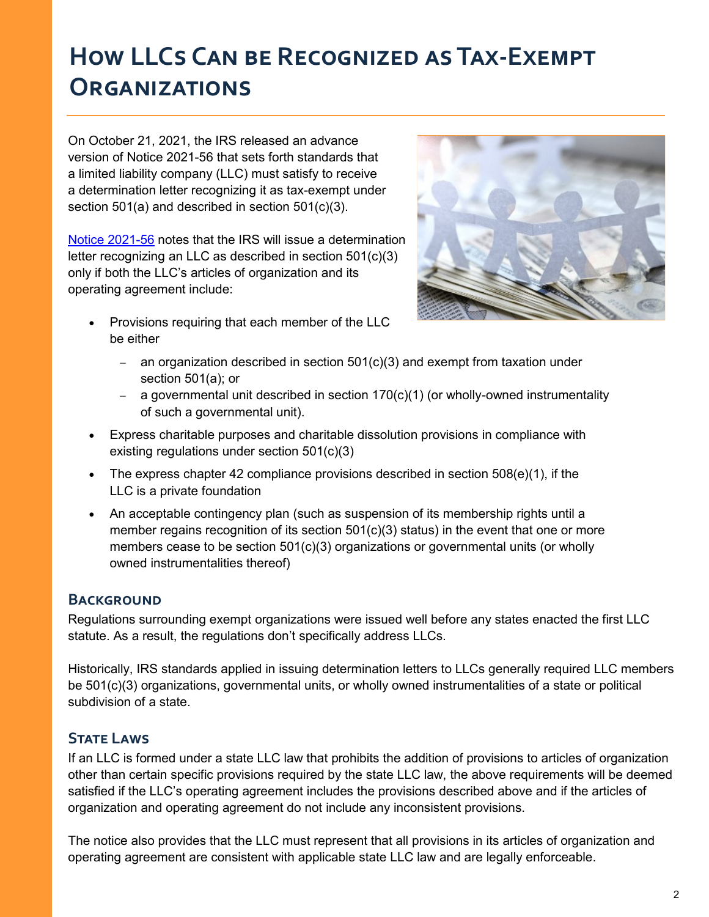## **How LLCs Can be Recognized as Tax-Exempt Organizations**

On October 21, 2021, the IRS released an advance version of Notice 2021-56 that sets forth standards that a limited liability company (LLC) must satisfy to receive a determination letter recognizing it as tax-exempt under section 501(a) and described in section 501(c)(3).

[Notice 2021](chrome-extension://efaidnbmnnnibpcajpcglclefindmkaj/viewer.html?pdfurl=https%3A%2F%2Fwww.irs.gov%2Fpub%2Firs-drop%2Fn-21-56.pdf&clen=129734&chunk=true)-56 notes that the IRS will issue a determination letter recognizing an LLC as described in section 501(c)(3) only if both the LLC's articles of organization and its operating agreement include:

• Provisions requiring that each member of the LLC be either



- − an organization described in section 501(c)(3) and exempt from taxation under section 501(a); or
- a governmental unit described in section 170(c)(1) (or wholly-owned instrumentality of such a governmental unit).
- Express charitable purposes and charitable dissolution provisions in compliance with existing regulations under section 501(c)(3)
- The express chapter 42 compliance provisions described in section  $508(e)(1)$ , if the LLC is a private foundation
- An acceptable contingency plan (such as suspension of its membership rights until a member regains recognition of its section  $501(c)(3)$  status) in the event that one or more members cease to be section 501(c)(3) organizations or governmental units (or wholly owned instrumentalities thereof)

## **BACKGROUND**

Regulations surrounding exempt organizations were issued well before any states enacted the first LLC statute. As a result, the regulations don't specifically address LLCs.

Historically, IRS standards applied in issuing determination letters to LLCs generally required LLC members be 501(c)(3) organizations, governmental units, or wholly owned instrumentalities of a state or political subdivision of a state.

## **STATE LAWS**

If an LLC is formed under a state LLC law that prohibits the addition of provisions to articles of organization other than certain specific provisions required by the state LLC law, the above requirements will be deemed satisfied if the LLC's operating agreement includes the provisions described above and if the articles of organization and operating agreement do not include any inconsistent provisions.

The notice also provides that the LLC must represent that all provisions in its articles of organization and operating agreement are consistent with applicable state LLC law and are legally enforceable.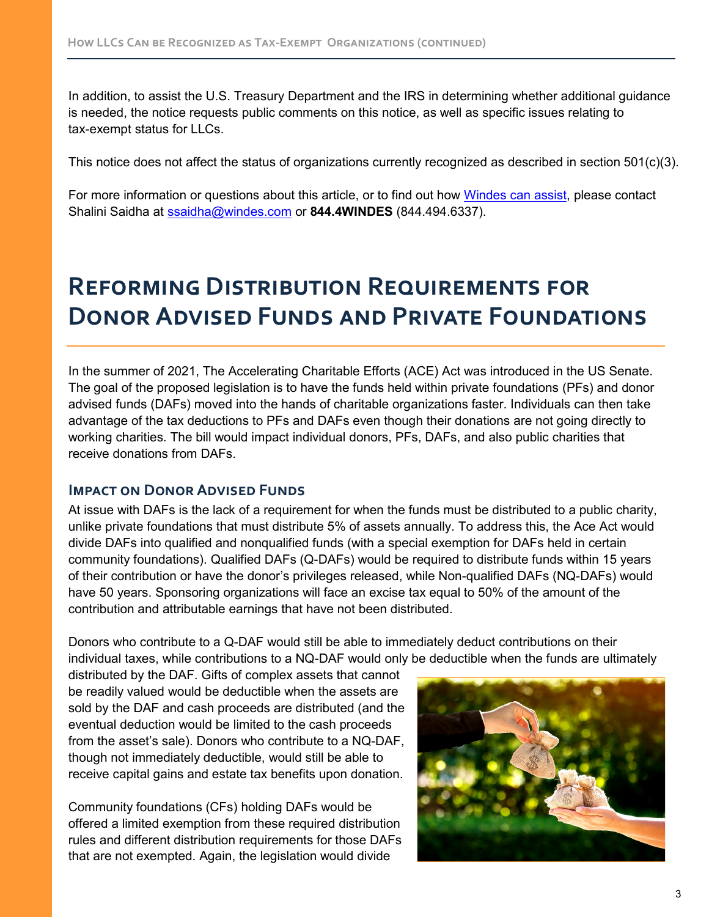In addition, to assist the U.S. Treasury Department and the IRS in determining whether additional guidance is needed, the notice requests public comments on this notice, as well as specific issues relating to tax-exempt status for LLCs.

This notice does not affect the status of organizations currently recognized as described in section  $501(c)(3)$ .

For more information or questions about this article, or to find out how [Windes can assist,](https://windes.com/services/tax/nonprofit/) please contact Shalini Saidha at [ssaidha@windes.com](mailto:ssaidha@windes.com) or **844.4WINDES** (844.494.6337).

## **Reforming Distribution Requirements for Donor Advised Funds and Private Foundations**

In the summer of 2021, The Accelerating Charitable Efforts (ACE) Act was introduced in the US Senate. The goal of the proposed legislation is to have the funds held within private foundations (PFs) and donor advised funds (DAFs) moved into the hands of charitable organizations faster. Individuals can then take advantage of the tax deductions to PFs and DAFs even though their donations are not going directly to working charities. The bill would impact individual donors, PFs, DAFs, and also public charities that receive donations from DAFs.

#### **Impact on Donor Advised Funds**

At issue with DAFs is the lack of a requirement for when the funds must be distributed to a public charity, unlike private foundations that must distribute 5% of assets annually. To address this, the Ace Act would divide DAFs into qualified and nonqualified funds (with a special exemption for DAFs held in certain community foundations). Qualified DAFs (Q-DAFs) would be required to distribute funds within 15 years of their contribution or have the donor's privileges released, while Non-qualified DAFs (NQ-DAFs) would have 50 years. Sponsoring organizations will face an excise tax equal to 50% of the amount of the contribution and attributable earnings that have not been distributed.

Donors who contribute to a Q-DAF would still be able to immediately deduct contributions on their individual taxes, while contributions to a NQ-DAF would only be deductible when the funds are ultimately

distributed by the DAF. Gifts of complex assets that cannot be readily valued would be deductible when the assets are sold by the DAF and cash proceeds are distributed (and the eventual deduction would be limited to the cash proceeds from the asset's sale). Donors who contribute to a NQ-DAF, though not immediately deductible, would still be able to receive capital gains and estate tax benefits upon donation.

Community foundations (CFs) holding DAFs would be offered a limited exemption from these required distribution rules and different distribution requirements for those DAFs that are not exempted. Again, the legislation would divide

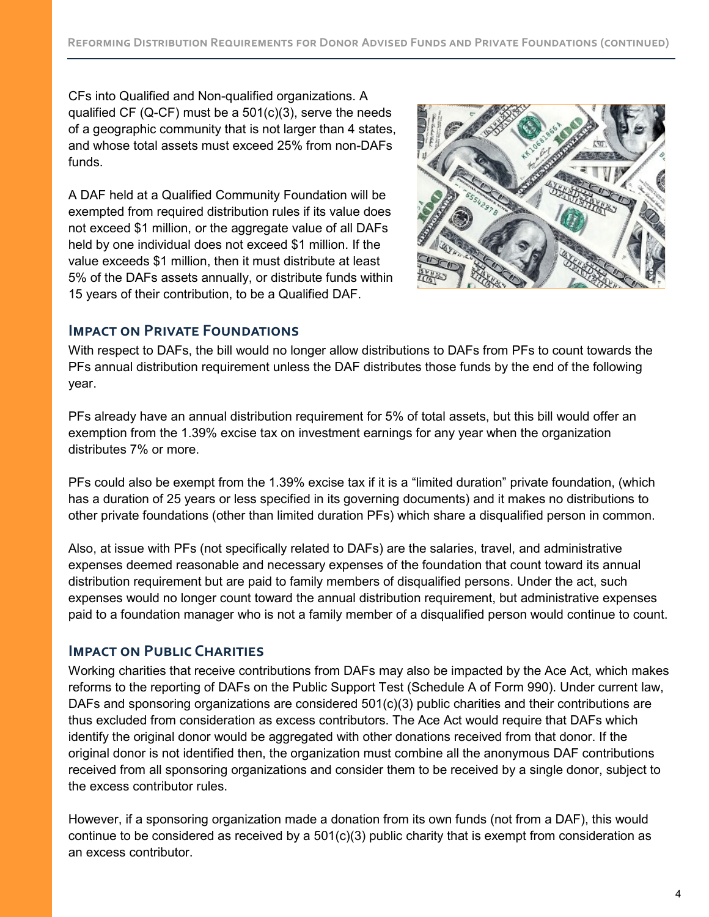CFs into Qualified and Non-qualified organizations. A qualified CF (Q-CF) must be a  $501(c)(3)$ , serve the needs of a geographic community that is not larger than 4 states, and whose total assets must exceed 25% from non-DAFs funds.

A DAF held at a Qualified Community Foundation will be exempted from required distribution rules if its value does not exceed \$1 million, or the aggregate value of all DAFs held by one individual does not exceed \$1 million. If the value exceeds \$1 million, then it must distribute at least 5% of the DAFs assets annually, or distribute funds within 15 years of their contribution, to be a Qualified DAF.



### **IMPACT ON PRIVATE FOUNDATIONS**

With respect to DAFs, the bill would no longer allow distributions to DAFs from PFs to count towards the PFs annual distribution requirement unless the DAF distributes those funds by the end of the following year.

PFs already have an annual distribution requirement for 5% of total assets, but this bill would offer an exemption from the 1.39% excise tax on investment earnings for any year when the organization distributes 7% or more.

PFs could also be exempt from the 1.39% excise tax if it is a "limited duration" private foundation, (which has a duration of 25 years or less specified in its governing documents) and it makes no distributions to other private foundations (other than limited duration PFs) which share a disqualified person in common.

Also, at issue with PFs (not specifically related to DAFs) are the salaries, travel, and administrative expenses deemed reasonable and necessary expenses of the foundation that count toward its annual distribution requirement but are paid to family members of disqualified persons. Under the act, such expenses would no longer count toward the annual distribution requirement, but administrative expenses paid to a foundation manager who is not a family member of a disqualified person would continue to count.

#### **IMPACT ON PUBLIC CHARITIES**

Working charities that receive contributions from DAFs may also be impacted by the Ace Act, which makes reforms to the reporting of DAFs on the Public Support Test (Schedule A of Form 990). Under current law, DAFs and sponsoring organizations are considered 501(c)(3) public charities and their contributions are thus excluded from consideration as excess contributors. The Ace Act would require that DAFs which identify the original donor would be aggregated with other donations received from that donor. If the original donor is not identified then, the organization must combine all the anonymous DAF contributions received from all sponsoring organizations and consider them to be received by a single donor, subject to the excess contributor rules.

However, if a sponsoring organization made a donation from its own funds (not from a DAF), this would continue to be considered as received by a 501(c)(3) public charity that is exempt from consideration as an excess contributor.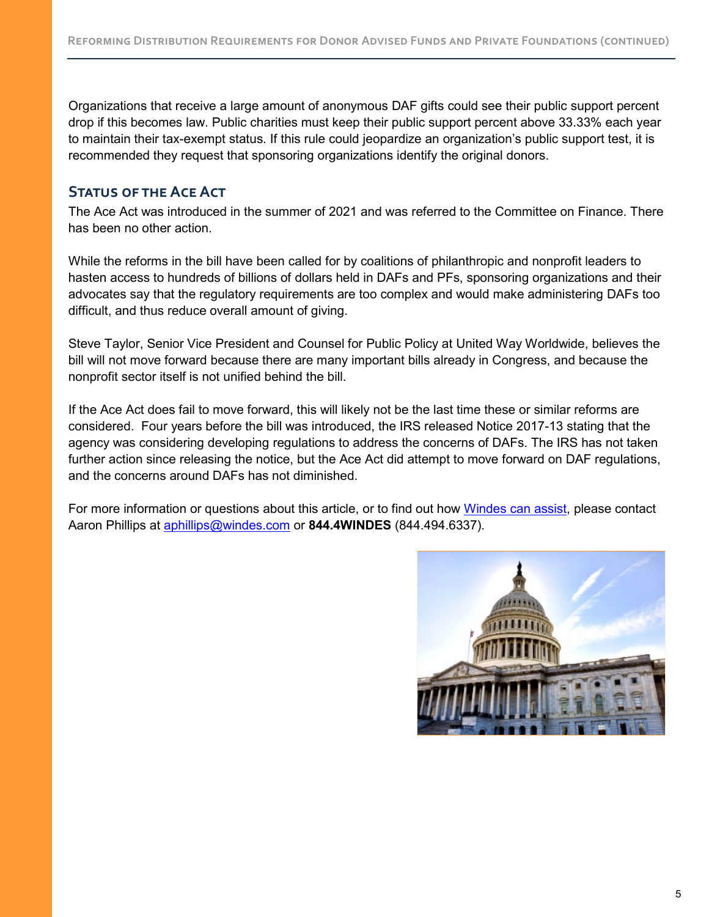Organizations that receive a large amount of anonymous DAF gifts could see their public support percent drop if this becomes law. Public charities must keep their public support percent above 33.33% each year to maintain their tax-exempt status. If this rule could jeopardize an organization's public support test, it is recommended they request that sponsoring organizations identify the original donors.

## **Status of the Ace Act**

The Ace Act was introduced in the summer of 2021 and was referred to the Committee on Finance. There has been no other action.

While the reforms in the bill have been called for by coalitions of philanthropic and nonprofit leaders to hasten access to hundreds of billions of dollars held in DAFs and PFs, sponsoring organizations and their advocates say that the regulatory requirements are too complex and would make administering DAFs too difficult, and thus reduce overall amount of giving.

Steve Taylor, Senior Vice President and Counsel for Public Policy at United Way Worldwide, believes the bill will not move forward because there are many important bills already in Congress, and because the nonprofit sector itself is not unified behind the bill.

If the Ace Act does fail to move forward, this will likely not be the last time these or similar reforms are considered. Four years before the bill was introduced, the IRS released Notice 2017-13 stating that the agency was considering developing regulations to address the concerns of DAFs. The IRS has not taken further action since releasing the notice, but the Ace Act did attempt to move forward on DAF regulations, and the concerns around DAFs has not diminished.

For more information or questions about this article, or to find out how [Windes can assist,](https://windes.com/services/tax/nonprofit/) please contact Aaron Phillips at [aphillips@windes.com](mailto:aphillips@windes.com) or **844.4WINDES** (844.494.6337).

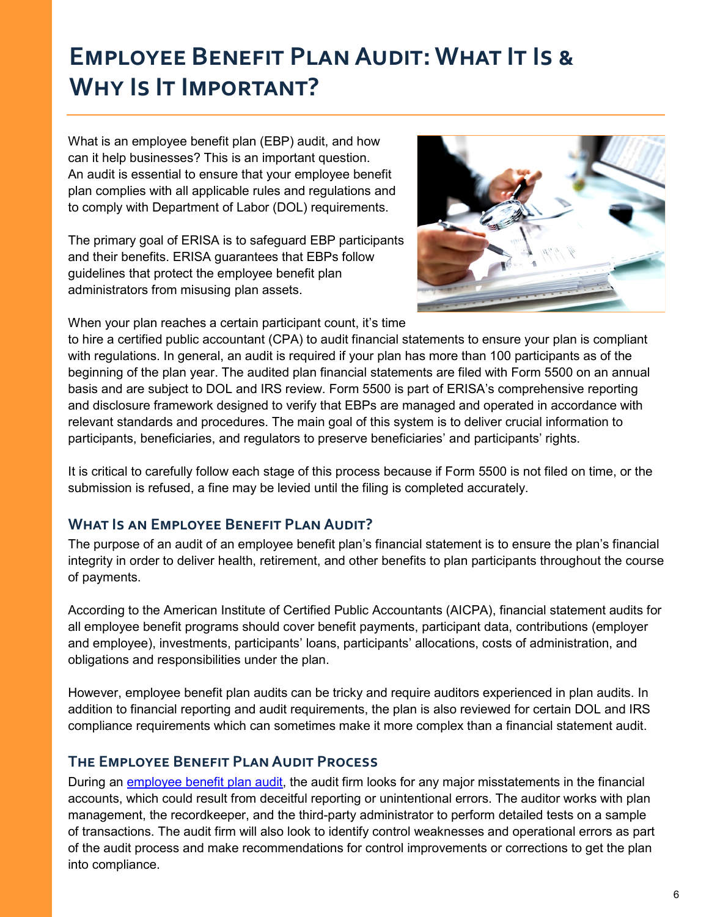## **Employee Benefit Plan Audit: What It Is & Why Is It Important?**

What is an employee benefit plan (EBP) audit, and how can it help businesses? This is an important question. An audit is essential to ensure that your employee benefit plan complies with all applicable rules and regulations and to comply with Department of Labor (DOL) requirements.

The primary goal of ERISA is to safeguard EBP participants and their benefits. ERISA guarantees that EBPs follow guidelines that protect the employee benefit plan administrators from misusing plan assets.



When your plan reaches a certain participant count, it's time

to hire a certified public accountant (CPA) to audit financial statements to ensure your plan is compliant with regulations. In general, an audit is required if your plan has more than 100 participants as of the beginning of the plan year. The audited plan financial statements are filed with Form 5500 on an annual basis and are subject to DOL and IRS review. Form 5500 is part of ERISA's comprehensive reporting and disclosure framework designed to verify that EBPs are managed and operated in accordance with relevant standards and procedures. The main goal of this system is to deliver crucial information to participants, beneficiaries, and regulators to preserve beneficiaries' and participants' rights.

It is critical to carefully follow each stage of this process because if Form 5500 is not filed on time, or the submission is refused, a fine may be levied until the filing is completed accurately.

## **What Is an Employee Benefit Plan Audit?**

The purpose of an audit of an employee benefit plan's financial statement is to ensure the plan's financial integrity in order to deliver health, retirement, and other benefits to plan participants throughout the course of payments.

According to the American Institute of Certified Public Accountants (AICPA), financial statement audits for all employee benefit programs should cover benefit payments, participant data, contributions (employer and employee), investments, participants' loans, participants' allocations, costs of administration, and obligations and responsibilities under the plan.

However, employee benefit plan audits can be tricky and require auditors experienced in plan audits. In addition to financial reporting and audit requirements, the plan is also reviewed for certain DOL and IRS compliance requirements which can sometimes make it more complex than a financial statement audit.

#### **The Employee Benefit Plan Audit Process**

During an [employee benefit plan audit,](https://windes.com/services/audit/employee-benefit-plan-audits/) the audit firm looks for any major misstatements in the financial accounts, which could result from deceitful reporting or unintentional errors. The auditor works with plan management, the recordkeeper, and the third-party administrator to perform detailed tests on a sample of transactions. The audit firm will also look to identify control weaknesses and operational errors as part of the audit process and make recommendations for control improvements or corrections to get the plan into compliance.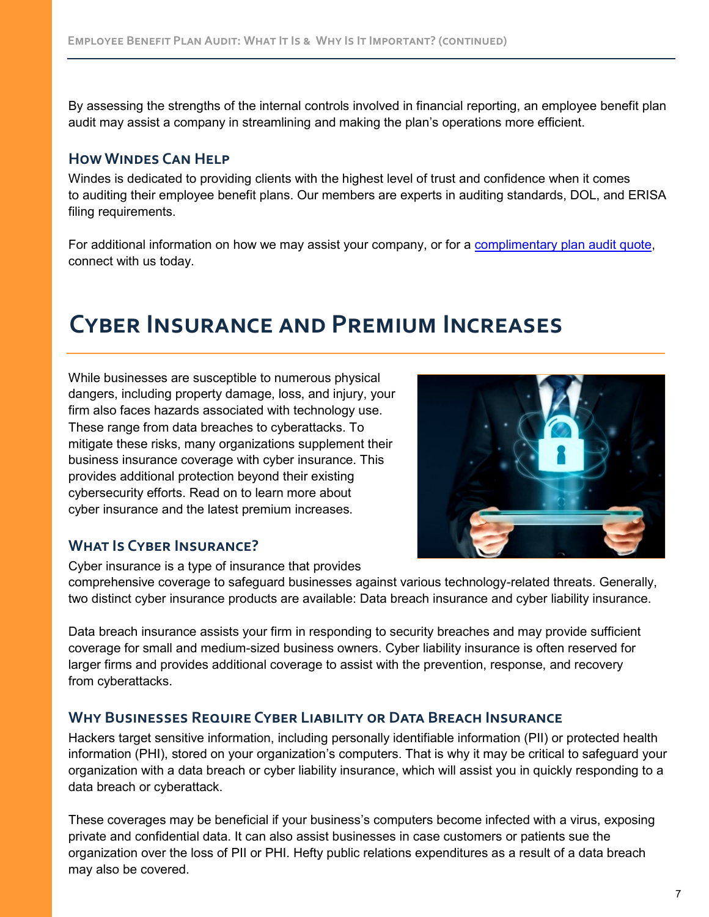By assessing the strengths of the internal controls involved in financial reporting, an employee benefit plan audit may assist a company in streamlining and making the plan's operations more efficient.

#### **How Windes Can Help**

Windes is dedicated to providing clients with the highest level of trust and confidence when it comes to auditing their employee benefit plans. Our members are experts in auditing standards, DOL, and ERISA filing requirements.

For additional information on how we may assist your company, or for a [complimentary plan audit quote,](https://windes.com/services/audit/employee-benefit-plan-audits/complimentary-401k-audit-quote/) connect with us today.

## **Cyber Insurance and Premium Increases**

While businesses are susceptible to numerous physical dangers, including property damage, loss, and injury, your firm also faces hazards associated with technology use. These range from data breaches to cyberattacks. To mitigate these risks, many organizations supplement their business insurance coverage with cyber insurance. This provides additional protection beyond their existing cybersecurity efforts. Read on to learn more about cyber insurance and the latest premium increases.



## **What Is Cyber Insurance?**

Cyber insurance is a type of insurance that provides

comprehensive coverage to safeguard businesses against various technology-related threats. Generally, two distinct cyber insurance products are available: Data breach insurance and cyber liability insurance.

Data breach insurance assists your firm in responding to security breaches and may provide sufficient coverage for small and medium-sized business owners. Cyber liability insurance is often reserved for larger firms and provides additional coverage to assist with the prevention, response, and recovery from cyberattacks.

## **Why Businesses Require Cyber Liability or Data Breach Insurance**

Hackers target sensitive information, including personally identifiable information (PII) or protected health information (PHI), stored on your organization's computers. That is why it may be critical to safeguard your organization with a data breach or cyber liability insurance, which will assist you in quickly responding to a data breach or cyberattack.

These coverages may be beneficial if your business's computers become infected with a virus, exposing private and confidential data. It can also assist businesses in case customers or patients sue the organization over the loss of PII or PHI. Hefty public relations expenditures as a result of a data breach may also be covered.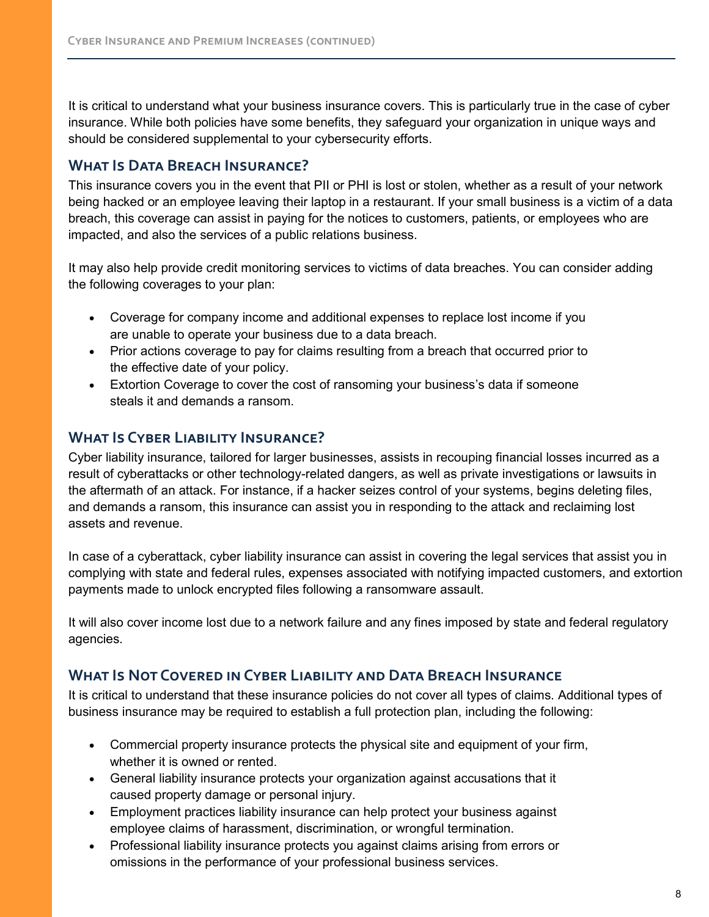It is critical to understand what your business insurance covers. This is particularly true in the case of cyber insurance. While both policies have some benefits, they safeguard your organization in unique ways and should be considered supplemental to your cybersecurity efforts.

## **What Is Data Breach Insurance?**

This insurance covers you in the event that PII or PHI is lost or stolen, whether as a result of your network being hacked or an employee leaving their laptop in a restaurant. If your small business is a victim of a data breach, this coverage can assist in paying for the notices to customers, patients, or employees who are impacted, and also the services of a public relations business.

It may also help provide credit monitoring services to victims of data breaches. You can consider adding the following coverages to your plan:

- Coverage for company income and additional expenses to replace lost income if you are unable to operate your business due to a data breach.
- Prior actions coverage to pay for claims resulting from a breach that occurred prior to the effective date of your policy.
- Extortion Coverage to cover the cost of ransoming your business's data if someone steals it and demands a ransom.

## **What Is Cyber Liability Insurance?**

Cyber liability insurance, tailored for larger businesses, assists in recouping financial losses incurred as a result of cyberattacks or other technology-related dangers, as well as private investigations or lawsuits in the aftermath of an attack. For instance, if a hacker seizes control of your systems, begins deleting files, and demands a ransom, this insurance can assist you in responding to the attack and reclaiming lost assets and revenue.

In case of a cyberattack, cyber liability insurance can assist in covering the legal services that assist you in complying with state and federal rules, expenses associated with notifying impacted customers, and extortion payments made to unlock encrypted files following a ransomware assault.

It will also cover income lost due to a network failure and any fines imposed by state and federal regulatory agencies.

## **What Is Not Covered in Cyber Liability and Data Breach Insurance**

It is critical to understand that these insurance policies do not cover all types of claims. Additional types of business insurance may be required to establish a full protection plan, including the following:

- Commercial property insurance protects the physical site and equipment of your firm, whether it is owned or rented.
- General liability insurance protects your organization against accusations that it caused property damage or personal injury.
- Employment practices liability insurance can help protect your business against employee claims of harassment, discrimination, or wrongful termination.
- Professional liability insurance protects you against claims arising from errors or omissions in the performance of your professional business services.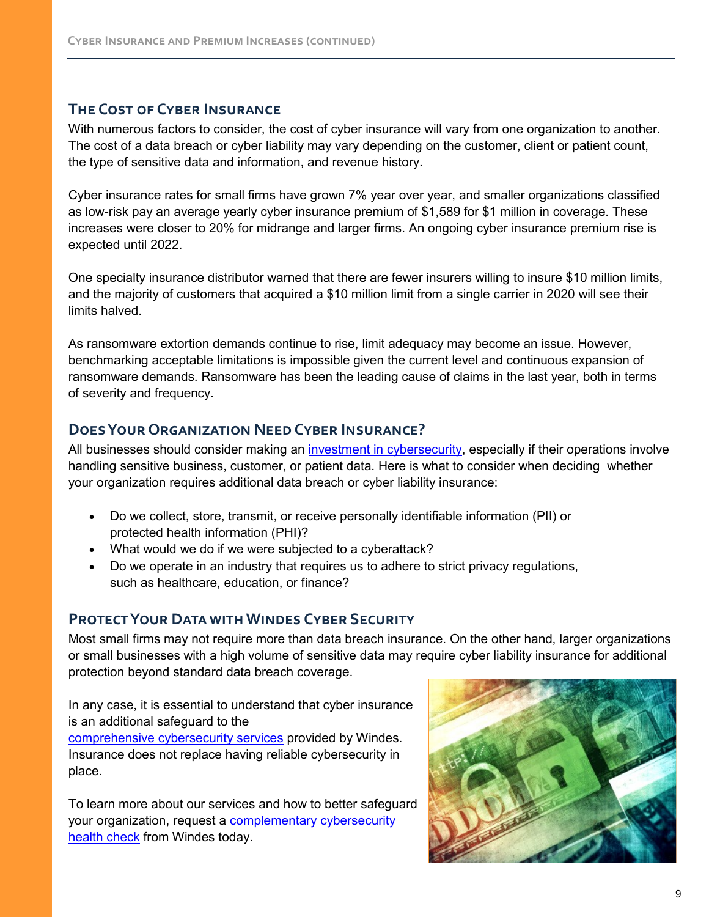## **The Cost of Cyber Insurance**

With numerous factors to consider, the cost of cyber insurance will vary from one organization to another. The cost of a data breach or cyber liability may vary depending on the customer, client or patient count, the type of sensitive data and information, and revenue history.

Cyber insurance rates for small firms have grown 7% year over year, and smaller organizations classified as low-risk pay an average yearly cyber insurance premium of \$1,589 for \$1 million in coverage. These increases were closer to 20% for midrange and larger firms. An ongoing cyber insurance premium rise is expected until 2022.

One specialty insurance distributor warned that there are fewer insurers willing to insure \$10 million limits, and the majority of customers that acquired a \$10 million limit from a single carrier in 2020 will see their limits halved.

As ransomware extortion demands continue to rise, limit adequacy may become an issue. However, benchmarking acceptable limitations is impossible given the current level and continuous expansion of ransomware demands. Ransomware has been the leading cause of claims in the last year, both in terms of severity and frequency.

## **Does Your Organization Need Cyber Insurance?**

All businesses should consider making an *investment in cybersecurity*, especially if their operations involve handling sensitive business, customer, or patient data. Here is what to consider when deciding whether your organization requires additional data breach or cyber liability insurance:

- Do we collect, store, transmit, or receive personally identifiable information (PII) or protected health information (PHI)?
- What would we do if we were subjected to a cyberattack?
- Do we operate in an industry that requires us to adhere to strict privacy regulations, such as healthcare, education, or finance?

## **Protect Your Data with Windes Cyber Security**

Most small firms may not require more than data breach insurance. On the other hand, larger organizations or small businesses with a high volume of sensitive data may require cyber liability insurance for additional protection beyond standard data breach coverage.

In any case, it is essential to understand that cyber insurance is an additional safeguard to the

[comprehensive cybersecurity services](https://windes.com/services/advisory/cybersecurity/) provided by Windes. Insurance does not replace having reliable cybersecurity in place.

To learn more about our services and how to better safeguard your organization, request a **complementary cybersecurity** [health check](https://windes.com/services/advisory/cybersecurity/talk-to-windes-cybersecurity-team/) from Windes today.